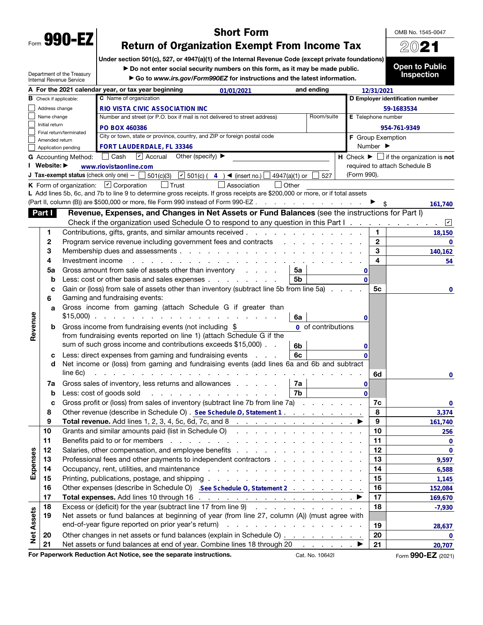| Form | <b>990</b><br><b>Section</b> |
|------|------------------------------|
|      |                              |

## Short Form

OMB No. 1545-0047 2021

# Return of Organization Exempt From Income Tax

Under section 501(c), 527, or 4947(a)(1) of the Internal Revenue Code (except private foundations)

▶ Do not enter social security numbers on this form, as it may be made public.

Department of the Treasury Internal Revenue Service

▶ Go to *www.irs.gov/Form990EZ* for instructions and the latest information.

Open to Public Inspection

|                   |                               |                             | A For the 2021 calendar year, or tax year beginning                                                                           | 01/01/2021                                                                                                      | and ending     |                                 |             | 12/31/2021                   |                                                                               |
|-------------------|-------------------------------|-----------------------------|-------------------------------------------------------------------------------------------------------------------------------|-----------------------------------------------------------------------------------------------------------------|----------------|---------------------------------|-------------|------------------------------|-------------------------------------------------------------------------------|
|                   | <b>B</b> Check if applicable: |                             | C Name of organization                                                                                                        |                                                                                                                 |                |                                 |             |                              | D Employer identification number                                              |
| Address change    |                               |                             | RIO VISTA CIVIC ASSOCIATION INC                                                                                               |                                                                                                                 |                |                                 |             |                              | 59-1683534                                                                    |
|                   | Name change                   |                             | Number and street (or P.O. box if mail is not delivered to street address)                                                    |                                                                                                                 |                | Room/suite                      |             | E Telephone number           |                                                                               |
|                   | Initial return                |                             | <b>PO BOX 460386</b>                                                                                                          |                                                                                                                 |                |                                 |             |                              | 954-761-9349                                                                  |
|                   | Amended return                | Final return/terminated     | City or town, state or province, country, and ZIP or foreign postal code                                                      |                                                                                                                 |                |                                 |             | F Group Exemption            |                                                                               |
|                   |                               | Application pending         | FORT LAUDERDALE, FL 33346                                                                                                     |                                                                                                                 |                |                                 |             | Number $\blacktriangleright$ |                                                                               |
|                   |                               | <b>G</b> Accounting Method: | □ Cash Ø Accrual Other (specify) ▶                                                                                            |                                                                                                                 |                |                                 |             |                              | <b>H</b> Check $\blacktriangleright$ $\Box$ if the organization is <b>not</b> |
|                   | I Website: ▶                  |                             | www.riovistaonline.com                                                                                                        |                                                                                                                 |                |                                 |             |                              | required to attach Schedule B                                                 |
|                   |                               |                             | <b>J Tax-exempt status</b> (check only one) $-\Box$ 501(c)(3) $\Box$ 501(c) (4) <b>4</b> (insert no.) $\Box$ 4947(a)(1) or    |                                                                                                                 |                | 527                             | (Form 990). |                              |                                                                               |
|                   |                               |                             | $\Box$ Trust<br><b>K</b> Form of organization: $\boxed{\mathbf{v}}$ Corporation                                               | $\Box$ Other<br>Association                                                                                     |                |                                 |             |                              |                                                                               |
|                   |                               |                             | L Add lines 5b, 6c, and 7b to line 9 to determine gross receipts. If gross receipts are \$200,000 or more, or if total assets |                                                                                                                 |                |                                 |             |                              |                                                                               |
|                   |                               |                             | (Part II, column (B)) are \$500,000 or more, file Form 990 instead of Form 990-EZ                                             |                                                                                                                 |                |                                 |             | ►                            | 161,740                                                                       |
|                   | Part I                        |                             | Revenue, Expenses, and Changes in Net Assets or Fund Balances (see the instructions for Part I)                               |                                                                                                                 |                |                                 |             |                              |                                                                               |
|                   |                               |                             | Check if the organization used Schedule O to respond to any question in this Part I.                                          |                                                                                                                 |                |                                 |             |                              | $\sqrt{2}$                                                                    |
|                   | 1                             |                             | Contributions, gifts, grants, and similar amounts received                                                                    |                                                                                                                 |                |                                 |             | 1                            | 18,150                                                                        |
|                   | 2                             |                             | Program service revenue including government fees and contracts                                                               |                                                                                                                 |                |                                 |             | $\mathbf{2}$                 | $\bf{0}$                                                                      |
|                   | 3                             |                             |                                                                                                                               |                                                                                                                 |                |                                 |             | 3                            | 140,162                                                                       |
|                   | 4                             | Investment income           | $\mathbf{L} = \mathbf{L}$                                                                                                     | and the state of the state of the state of the state of the state of the state of the state of the state of the |                |                                 |             | 4                            | 54                                                                            |
|                   | 5a                            |                             | Gross amount from sale of assets other than inventory                                                                         |                                                                                                                 | 5a             |                                 | 0           |                              |                                                                               |
|                   | b                             |                             | Less: cost or other basis and sales expenses                                                                                  |                                                                                                                 | 5 <sub>b</sub> |                                 | $\Omega$    |                              |                                                                               |
|                   | с                             |                             | Gain or (loss) from sale of assets other than inventory (subtract line 5b from line 5a)                                       |                                                                                                                 |                |                                 |             | 5c                           | 0                                                                             |
|                   | 6                             |                             | Gaming and fundraising events:                                                                                                |                                                                                                                 |                |                                 |             |                              |                                                                               |
|                   | a                             |                             | Gross income from gaming (attach Schedule G if greater than                                                                   |                                                                                                                 |                |                                 |             |                              |                                                                               |
|                   |                               |                             | $$15,000$                                                                                                                     |                                                                                                                 | 6a             |                                 | 0           |                              |                                                                               |
| Revenue           | b                             |                             | Gross income from fundraising events (not including \$                                                                        |                                                                                                                 |                | 0 of contributions              |             |                              |                                                                               |
|                   |                               |                             | from fundraising events reported on line 1) (attach Schedule G if the                                                         |                                                                                                                 |                |                                 |             |                              |                                                                               |
|                   |                               |                             | sum of such gross income and contributions exceeds \$15,000). .                                                               |                                                                                                                 | 6b             |                                 | 0           |                              |                                                                               |
|                   | с                             |                             | Less: direct expenses from gaming and fundraising events                                                                      |                                                                                                                 | 6c             |                                 |             |                              |                                                                               |
|                   | d                             |                             | Net income or (loss) from gaming and fundraising events (add lines 6a and 6b and subtract                                     |                                                                                                                 |                |                                 |             |                              |                                                                               |
|                   |                               | line 6c)                    |                                                                                                                               |                                                                                                                 |                |                                 |             | 6d                           | 0                                                                             |
|                   | 7a                            |                             | Gross sales of inventory, less returns and allowances                                                                         |                                                                                                                 | 7a             |                                 | 0           |                              |                                                                               |
|                   | b                             |                             | Less: cost of goods sold                                                                                                      | and a structure of the contract of the contract of                                                              | 7b             |                                 | $\Omega$    |                              |                                                                               |
|                   | c                             |                             | Gross profit or (loss) from sales of inventory (subtract line 7b from line 7a)                                                |                                                                                                                 |                |                                 |             | 7c                           | 0                                                                             |
|                   | 8                             |                             | Other revenue (describe in Schedule O). See Schedule O, Statement 1.                                                          |                                                                                                                 |                |                                 |             | 8                            | 3,374                                                                         |
|                   | 9                             |                             | Total revenue. Add lines 1, 2, 3, 4, 5c, 6d, 7c, and 8 ▶                                                                      |                                                                                                                 |                |                                 |             | 9                            | 161,740                                                                       |
|                   | 10                            |                             | Grants and similar amounts paid (list in Schedule O) Albert Albert Albert Albert Albert Albert Albert Albert A                |                                                                                                                 |                |                                 |             | 10                           | 256                                                                           |
|                   | 11                            |                             |                                                                                                                               |                                                                                                                 |                |                                 |             | 11                           | 0                                                                             |
|                   | 12                            |                             |                                                                                                                               |                                                                                                                 |                |                                 |             | 12                           | $\mathbf 0$                                                                   |
| Expenses          | 13                            |                             | Professional fees and other payments to independent contractors                                                               |                                                                                                                 |                |                                 |             | 13                           | 9,597                                                                         |
|                   | 14                            |                             |                                                                                                                               |                                                                                                                 |                |                                 |             | 14                           | 6,588                                                                         |
|                   | 15                            |                             |                                                                                                                               |                                                                                                                 |                |                                 |             | 15                           | 1,145                                                                         |
|                   | 16                            |                             | Other expenses (describe in Schedule O) See Schedule O, Statement 2                                                           |                                                                                                                 |                |                                 |             | 16                           | 152,084                                                                       |
|                   | 17                            |                             | Total expenses. Add lines 10 through 16 $\ldots$ $\ldots$ $\ldots$ $\ldots$ $\ldots$ $\ldots$ $\ldots$                        |                                                                                                                 |                |                                 |             | 17                           | 169,670                                                                       |
|                   | 18                            |                             | Excess or (deficit) for the year (subtract line 17 from line 9)                                                               |                                                                                                                 |                |                                 |             | 18                           | $-7,930$                                                                      |
|                   | 19                            |                             | Net assets or fund balances at beginning of year (from line 27, column (A)) (must agree with                                  |                                                                                                                 |                |                                 |             |                              |                                                                               |
|                   |                               |                             | end-of-year figure reported on prior year's return)                                                                           | and the contract of the contract of the contract of                                                             |                |                                 |             | 19                           | 28,637                                                                        |
| <b>Net Assets</b> | 20                            |                             | Other changes in net assets or fund balances (explain in Schedule O)                                                          |                                                                                                                 |                |                                 |             | 20                           | 0                                                                             |
|                   | 21                            |                             | Net assets or fund balances at end of year. Combine lines 18 through 20                                                       |                                                                                                                 |                | and a state of the state of the |             | 21                           | 20,707                                                                        |
|                   |                               |                             | For Paperwork Reduction Act Notice, see the separate instructions.                                                            |                                                                                                                 |                | Cat. No. 10642I                 |             |                              | Form 990-EZ (2021)                                                            |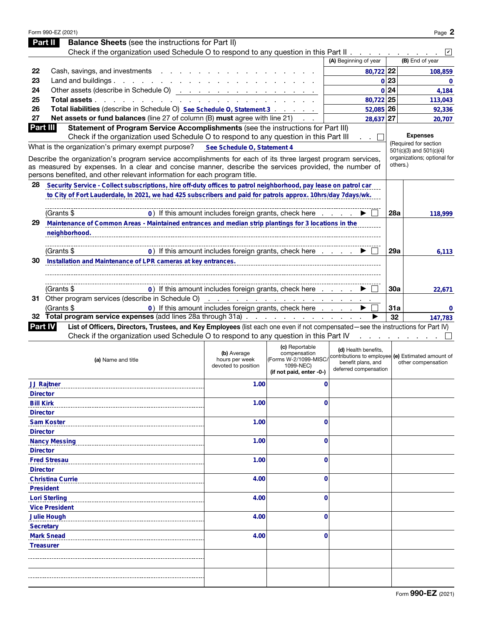|                  | Form 990-EZ (2021)                                                                                                                                                                                                   |                                       |                                                       |                                                                           |            | Page 2                                               |
|------------------|----------------------------------------------------------------------------------------------------------------------------------------------------------------------------------------------------------------------|---------------------------------------|-------------------------------------------------------|---------------------------------------------------------------------------|------------|------------------------------------------------------|
|                  | <b>Balance Sheets</b> (see the instructions for Part II)<br>Part II                                                                                                                                                  |                                       |                                                       |                                                                           |            |                                                      |
|                  | Check if the organization used Schedule O to respond to any question in this Part II                                                                                                                                 |                                       |                                                       |                                                                           |            | $\vert\mathbf{v}\vert$                               |
|                  |                                                                                                                                                                                                                      |                                       |                                                       | (A) Beginning of year                                                     |            | (B) End of year                                      |
| 22               | Cash, savings, and investments.                                                                                                                                                                                      |                                       |                                                       | 80,722 22                                                                 |            | 108,859                                              |
| 23               | Land and buildings.<br>the company of the company of                                                                                                                                                                 |                                       |                                                       |                                                                           | 0 23       | $\mathbf{0}$                                         |
| 24               |                                                                                                                                                                                                                      |                                       |                                                       |                                                                           | 0 24       | 4,184                                                |
| 25               | Total assets.<br>and a state of the state of the                                                                                                                                                                     |                                       |                                                       | 80,722 25                                                                 |            | 113,043                                              |
| 26               | Total liabilities (describe in Schedule O) See Schedule O, Statement 3                                                                                                                                               |                                       |                                                       | 52,085 26                                                                 |            | 92,336                                               |
| 27               | Net assets or fund balances (line 27 of column (B) must agree with line 21)                                                                                                                                          |                                       |                                                       | 28,637                                                                    | 27         | 20,707                                               |
| Part III         | Statement of Program Service Accomplishments (see the instructions for Part III)                                                                                                                                     |                                       |                                                       |                                                                           |            |                                                      |
|                  | Check if the organization used Schedule O to respond to any question in this Part III                                                                                                                                |                                       |                                                       |                                                                           |            | <b>Expenses</b>                                      |
|                  | What is the organization's primary exempt purpose?                                                                                                                                                                   | See Schedule O, Statement 4           |                                                       |                                                                           |            | (Required for section<br>$501(c)(3)$ and $501(c)(4)$ |
|                  | Describe the organization's program service accomplishments for each of its three largest program services,<br>as measured by expenses. In a clear and concise manner, describe the services provided, the number of |                                       |                                                       |                                                                           |            | organizations; optional for<br>others.)              |
| 28               | persons benefited, and other relevant information for each program title.<br>Security Service - Collect subscriptions, hire off-duty offices to patrol neighborhood, pay lease on patrol car                         |                                       |                                                       |                                                                           |            |                                                      |
|                  | to City of Fort Lauderdale, In 2021, we had 425 subscribers and paid for patrols approx. 10hrs/day 7days/wk.                                                                                                         |                                       |                                                       |                                                                           |            |                                                      |
|                  |                                                                                                                                                                                                                      |                                       |                                                       |                                                                           |            |                                                      |
|                  | (Grants \$                                                                                                                                                                                                           |                                       | 0) If this amount includes foreign grants, check here |                                                                           | <b>28a</b> | 118,999                                              |
| 29               | Maintenance of Common Areas - Maintained entrances and median strip plantings for 3 locations in the                                                                                                                 |                                       |                                                       |                                                                           |            |                                                      |
|                  | neighborhood.                                                                                                                                                                                                        |                                       |                                                       |                                                                           |            |                                                      |
|                  |                                                                                                                                                                                                                      |                                       |                                                       |                                                                           |            |                                                      |
|                  | (Grants \$                                                                                                                                                                                                           |                                       | 0) If this amount includes foreign grants, check here |                                                                           | <b>29a</b> | 6,113                                                |
| 30               | Installation and Maintenance of LPR cameras at key entrances.                                                                                                                                                        |                                       |                                                       |                                                                           |            |                                                      |
|                  |                                                                                                                                                                                                                      |                                       |                                                       |                                                                           |            |                                                      |
|                  |                                                                                                                                                                                                                      |                                       |                                                       |                                                                           |            |                                                      |
|                  | (Grants \$                                                                                                                                                                                                           |                                       | 0) If this amount includes foreign grants, check here |                                                                           | <b>30a</b> | 22,671                                               |
|                  | 31 Other program services (describe in Schedule O)                                                                                                                                                                   |                                       |                                                       |                                                                           |            |                                                      |
|                  | (Grants \$                                                                                                                                                                                                           |                                       | 0) If this amount includes foreign grants, check here |                                                                           | <b>31a</b> | $\Omega$                                             |
|                  | 32 Total program service expenses (add lines 28a through 31a)                                                                                                                                                        |                                       |                                                       |                                                                           | 32         | 147.783                                              |
| <b>Part IV</b>   | List of Officers, Directors, Trustees, and Key Employees (list each one even if not compensated—see the instructions for Part IV)                                                                                    |                                       |                                                       |                                                                           |            |                                                      |
|                  | Check if the organization used Schedule O to respond to any question in this Part IV                                                                                                                                 |                                       |                                                       |                                                                           |            |                                                      |
|                  |                                                                                                                                                                                                                      |                                       | (c) Reportable                                        |                                                                           |            |                                                      |
|                  |                                                                                                                                                                                                                      | (b) Average                           | compensation<br>(Forms W-2/1099-MISC/                 | (d) Health benefits,<br>contributions to employee (e) Estimated amount of |            |                                                      |
|                  | (a) Name and title                                                                                                                                                                                                   | hours per week<br>devoted to position | 1099-NEC)                                             | benefit plans, and                                                        |            | other compensation                                   |
|                  |                                                                                                                                                                                                                      |                                       | (if not paid, enter -0-)                              | deferred compensation                                                     |            |                                                      |
|                  | <b>JJ Rajtner</b>                                                                                                                                                                                                    | 1.00                                  | 0                                                     |                                                                           |            |                                                      |
| <b>Director</b>  |                                                                                                                                                                                                                      |                                       |                                                       |                                                                           |            |                                                      |
| <b>Bill Kirk</b> |                                                                                                                                                                                                                      | 1.00                                  | 0                                                     |                                                                           |            |                                                      |
| <b>Director</b>  |                                                                                                                                                                                                                      |                                       |                                                       |                                                                           |            |                                                      |
|                  | <b>Sam Koster</b>                                                                                                                                                                                                    | 1.00                                  | 0                                                     |                                                                           |            |                                                      |
| <b>Director</b>  |                                                                                                                                                                                                                      |                                       |                                                       |                                                                           |            |                                                      |
|                  | <b>Nancy Messing</b>                                                                                                                                                                                                 | 1.00                                  | 0                                                     |                                                                           |            |                                                      |
| <b>Director</b>  |                                                                                                                                                                                                                      |                                       |                                                       |                                                                           |            |                                                      |
|                  | <b>Fred Stresau</b>                                                                                                                                                                                                  | 1.00                                  | 0                                                     |                                                                           |            |                                                      |
| <b>Director</b>  |                                                                                                                                                                                                                      |                                       |                                                       |                                                                           |            |                                                      |
|                  | <b>Christina Currie</b>                                                                                                                                                                                              | 4.00                                  | 0                                                     |                                                                           |            |                                                      |
| <b>President</b> |                                                                                                                                                                                                                      |                                       |                                                       |                                                                           |            |                                                      |
|                  | <b>Lori Sterling</b>                                                                                                                                                                                                 | 4.00                                  | 0                                                     |                                                                           |            |                                                      |
|                  | <b>Vice President</b>                                                                                                                                                                                                |                                       |                                                       |                                                                           |            |                                                      |
|                  | <b>Julie Hough</b>                                                                                                                                                                                                   | 4.00                                  | 0                                                     |                                                                           |            |                                                      |
| <b>Secretary</b> |                                                                                                                                                                                                                      |                                       |                                                       |                                                                           |            |                                                      |
|                  | <b>Mark Snead</b>                                                                                                                                                                                                    | 4.00                                  | 0                                                     |                                                                           |            |                                                      |
| <b>Treasurer</b> |                                                                                                                                                                                                                      |                                       |                                                       |                                                                           |            |                                                      |
|                  |                                                                                                                                                                                                                      |                                       |                                                       |                                                                           |            |                                                      |
|                  |                                                                                                                                                                                                                      |                                       |                                                       |                                                                           |            |                                                      |
|                  |                                                                                                                                                                                                                      |                                       |                                                       |                                                                           |            |                                                      |
|                  |                                                                                                                                                                                                                      |                                       |                                                       |                                                                           |            |                                                      |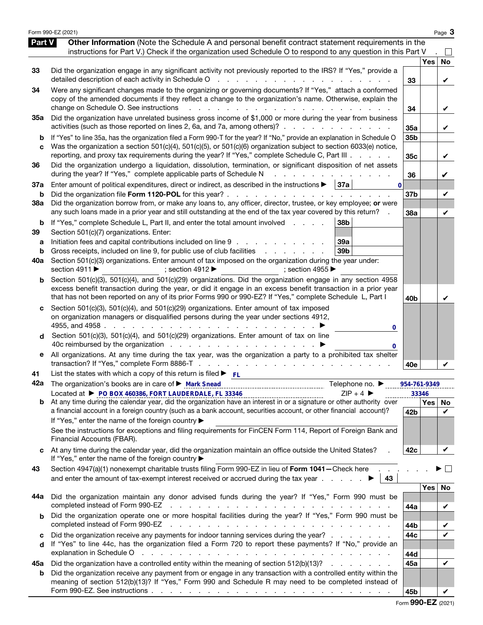|                          | Form 990-EZ (2021)                                                                                                                                                                                                                                                                                                                                                                                                                                                                                                                               |                 |            | Page 3   |
|--------------------------|--------------------------------------------------------------------------------------------------------------------------------------------------------------------------------------------------------------------------------------------------------------------------------------------------------------------------------------------------------------------------------------------------------------------------------------------------------------------------------------------------------------------------------------------------|-----------------|------------|----------|
| Part V                   | Other Information (Note the Schedule A and personal benefit contract statement requirements in the<br>instructions for Part V.) Check if the organization used Schedule O to respond to any question in this Part V                                                                                                                                                                                                                                                                                                                              |                 |            |          |
| 33                       | Did the organization engage in any significant activity not previously reported to the IRS? If "Yes," provide a<br>detailed description of each activity in Schedule O<br>$\mathcal{L}^{\text{max}}$<br>and the company of the company                                                                                                                                                                                                                                                                                                           | 33              | <b>Yes</b> | No<br>V  |
| 34                       | Were any significant changes made to the organizing or governing documents? If "Yes," attach a conformed<br>copy of the amended documents if they reflect a change to the organization's name. Otherwise, explain the<br>change on Schedule O. See instructions                                                                                                                                                                                                                                                                                  | 34              |            | V        |
| 35a                      | Did the organization have unrelated business gross income of \$1,000 or more during the year from business<br>activities (such as those reported on lines 2, 6a, and 7a, among others)?                                                                                                                                                                                                                                                                                                                                                          | 35a             |            | V        |
| b<br>C                   | If "Yes" to line 35a, has the organization filed a Form 990-T for the year? If "No," provide an explanation in Schedule O<br>Was the organization a section 501(c)(4), 501(c)(5), or 501(c)(6) organization subject to section 6033(e) notice,<br>reporting, and proxy tax requirements during the year? If "Yes," complete Schedule C, Part III                                                                                                                                                                                                 | 35b<br>35c      |            | V        |
| 36                       | Did the organization undergo a liquidation, dissolution, termination, or significant disposition of net assets<br>during the year? If "Yes," complete applicable parts of Schedule N                                                                                                                                                                                                                                                                                                                                                             | 36              |            | V        |
| 37a<br>b                 | Enter amount of political expenditures, direct or indirect, as described in the instructions $\blacktriangleright$   37a<br>$\bf{0}$<br>Did the organization file Form 1120-POL for this year?.<br>and a state<br>and the company of the company                                                                                                                                                                                                                                                                                                 | 37 <sub>b</sub> |            | V        |
| 38a                      | Did the organization borrow from, or make any loans to, any officer, director, trustee, or key employee; or were<br>any such loans made in a prior year and still outstanding at the end of the tax year covered by this return?                                                                                                                                                                                                                                                                                                                 | 38a             |            | V        |
| b<br>39<br>а<br>b<br>40a | If "Yes," complete Schedule L, Part II, and enter the total amount involved<br>38 <sub>b</sub><br>Section 501(c)(7) organizations. Enter:<br>Initiation fees and capital contributions included on line 9<br>39a<br>Gross receipts, included on line 9, for public use of club facilities<br>39b<br>and a state of the state of the<br>Section 501(c)(3) organizations. Enter amount of tax imposed on the organization during the year under:<br>section 4911 ▶<br>; section 4912 $\blacktriangleright$<br>; section 4955 $\blacktriangleright$ |                 |            |          |
| b                        | Section 501(c)(3), 501(c)(4), and 501(c)(29) organizations. Did the organization engage in any section 4958<br>excess benefit transaction during the year, or did it engage in an excess benefit transaction in a prior year<br>that has not been reported on any of its prior Forms 990 or 990-EZ? If "Yes," complete Schedule L, Part I                                                                                                                                                                                                        | 40 <sub>b</sub> |            |          |
| d                        | Section 501(c)(3), 501(c)(4), and 501(c)(29) organizations. Enter amount of tax imposed<br>on organization managers or disqualified persons during the year under sections 4912,<br>4955, and 4958<br>the contract of the contract of the contract of the contract of the contract of the contract of the contract of<br>0<br>Section 501(c)(3), 501(c)(4), and 501(c)(29) organizations. Enter amount of tax on line                                                                                                                            |                 |            |          |
| е                        | All organizations. At any time during the tax year, was the organization a party to a prohibited tax shelter                                                                                                                                                                                                                                                                                                                                                                                                                                     | 40e             |            |          |
| 41<br>42a                | List the states with which a copy of this return is filed $\blacktriangleright$ FL<br>The organization's books are in care of ▶ Mark Snead<br>Telephone no. ▶                                                                                                                                                                                                                                                                                                                                                                                    | 954-761-9349    |            |          |
|                          | $ZIP + 4$<br><b>b</b> At any time during the calendar year, did the organization have an interest in or a signature or other authority over                                                                                                                                                                                                                                                                                                                                                                                                      |                 | 33346      | Yes   No |
|                          | a financial account in a foreign country (such as a bank account, securities account, or other financial account)?<br>If "Yes," enter the name of the foreign country ▶<br>See the instructions for exceptions and filing requirements for FinCEN Form 114, Report of Foreign Bank and                                                                                                                                                                                                                                                           | 42b             |            | V        |
|                          | Financial Accounts (FBAR).<br>At any time during the calendar year, did the organization maintain an office outside the United States?                                                                                                                                                                                                                                                                                                                                                                                                           | 42c             |            | V        |
| 43                       | If "Yes," enter the name of the foreign country ▶<br>Section 4947(a)(1) nonexempt charitable trusts filing Form 990-EZ in lieu of Form 1041-Check here<br>and enter the amount of tax-exempt interest received or accrued during the tax year $\ldots$<br>43                                                                                                                                                                                                                                                                                     |                 |            |          |
| 44a                      | Did the organization maintain any donor advised funds during the year? If "Yes," Form 990 must be<br>completed instead of Form 990-EZ                                                                                                                                                                                                                                                                                                                                                                                                            |                 | Yes        | No       |
| b                        | Did the organization operate one or more hospital facilities during the year? If "Yes," Form 990 must be<br>completed instead of Form 990-EZ                                                                                                                                                                                                                                                                                                                                                                                                     | 44a<br>44b      |            | V<br>V   |
| c<br>d                   | Did the organization receive any payments for indoor tanning services during the year?<br>If "Yes" to line 44c, has the organization filed a Form 720 to report these payments? If "No," provide an<br>explanation in Schedule O<br>and a complete the contract of the complete state of the complete state of the complete state of the complete                                                                                                                                                                                                | 44c<br>44d      |            | V        |
| 45а                      | Did the organization have a controlled entity within the meaning of section 512(b)(13)?                                                                                                                                                                                                                                                                                                                                                                                                                                                          | 45a             |            | V        |
| b                        | Did the organization receive any payment from or engage in any transaction with a controlled entity within the<br>meaning of section 512(b)(13)? If "Yes," Form 990 and Schedule R may need to be completed instead of                                                                                                                                                                                                                                                                                                                           | 45b             |            |          |

Form 990-EZ (2021)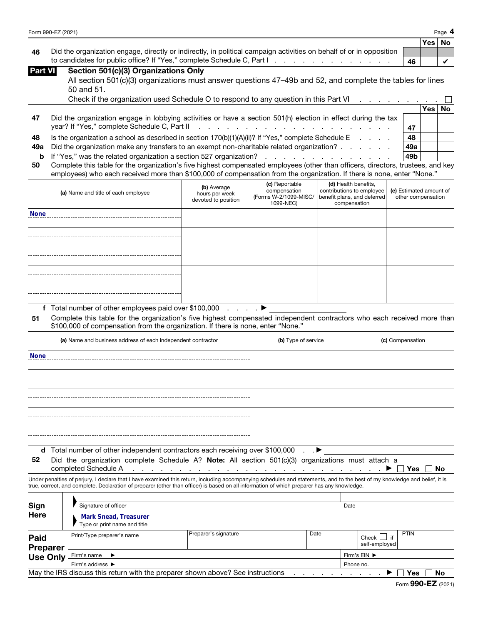|    |                                                                                                                                                                        |    | Yes   No |  |
|----|------------------------------------------------------------------------------------------------------------------------------------------------------------------------|----|----------|--|
| 46 | Did the organization engage, directly or indirectly, in political campaign activities on behalf of or in opposition                                                    |    |          |  |
|    | to candidates for public office? If "Yes," complete Schedule C, Part I. The Contract Property Conditional Property Conditional Property Conditional Property Condition | 46 |          |  |

| Part VII |  | Section 501(c)(3) Organizations Only |  |  |
|----------|--|--------------------------------------|--|--|
|          |  |                                      |  |  |

| All section 501(c)(3) organizations must answer questions 47-49b and 52, and complete the tables for lines |  |
|------------------------------------------------------------------------------------------------------------|--|
| 50 and 51.                                                                                                 |  |

|    | Check if the organization used Schedule O to respond to any question in this Part VI $\ldots$ , $\ldots$      |                 |       |    |
|----|---------------------------------------------------------------------------------------------------------------|-----------------|-------|----|
|    |                                                                                                               |                 | ∕es l | No |
| 47 | Did the organization engage in lobbying activities or have a section 501(h) election in effect during the tax |                 |       |    |
|    |                                                                                                               | 47              |       |    |
| 48 | Is the organization a school as described in section $170(b)(1)(A)(ii)$ ? If "Yes," complete Schedule E       | 48              |       |    |
|    | 49a Did the organization make any transfers to an exempt non-charitable related organization?                 | 49a             |       |    |
|    |                                                                                                               | 49 <sub>b</sub> |       |    |
|    |                                                                                                               |                 |       |    |

| 50 Complete this table for the organization's five highest compensated employees (other than officers, directors, trustees, and key |
|-------------------------------------------------------------------------------------------------------------------------------------|
| employees) who each received more than \$100,000 of compensation from the organization. If there is none, enter "None."             |

|             | to candidates for public office? If "Yes," complete Schedule C, Part I. A. A. A. A. A. A. A. A. A. A.                                                                                                       |                                                      |                                                                                                                                                                                                                               |                                                                                                  | 46               |     | V                                             |
|-------------|-------------------------------------------------------------------------------------------------------------------------------------------------------------------------------------------------------------|------------------------------------------------------|-------------------------------------------------------------------------------------------------------------------------------------------------------------------------------------------------------------------------------|--------------------------------------------------------------------------------------------------|------------------|-----|-----------------------------------------------|
| Part VI     | Section 501(c)(3) Organizations Only                                                                                                                                                                        |                                                      |                                                                                                                                                                                                                               |                                                                                                  |                  |     |                                               |
|             | All section 501(c)(3) organizations must answer questions 47–49b and 52, and complete the tables for lines                                                                                                  |                                                      |                                                                                                                                                                                                                               |                                                                                                  |                  |     |                                               |
|             | 50 and 51.                                                                                                                                                                                                  |                                                      |                                                                                                                                                                                                                               |                                                                                                  |                  |     |                                               |
|             | Check if the organization used Schedule O to respond to any question in this Part VI                                                                                                                        |                                                      |                                                                                                                                                                                                                               |                                                                                                  |                  |     |                                               |
|             |                                                                                                                                                                                                             |                                                      |                                                                                                                                                                                                                               |                                                                                                  |                  | Yes | <b>No</b>                                     |
| 47          | Did the organization engage in lobbying activities or have a section 501(h) election in effect during the tax                                                                                               |                                                      |                                                                                                                                                                                                                               |                                                                                                  |                  |     |                                               |
|             | year? If "Yes," complete Schedule C, Part II                                                                                                                                                                |                                                      | a construction of the construction of the construction of the construction of the construction of the construction of the construction of the construction of the construction of the construction of the construction of the |                                                                                                  | 47               |     |                                               |
| 48          | Is the organization a school as described in section 170(b)(1)(A)(ii)? If "Yes," complete Schedule E                                                                                                        |                                                      |                                                                                                                                                                                                                               |                                                                                                  | 48               |     |                                               |
| 49a         | Did the organization make any transfers to an exempt non-charitable related organization?                                                                                                                   |                                                      |                                                                                                                                                                                                                               |                                                                                                  | 49a              |     |                                               |
| b           | If "Yes," was the related organization a section 527 organization?                                                                                                                                          |                                                      | and a series and a series and a series                                                                                                                                                                                        |                                                                                                  | 49b              |     |                                               |
| 50          | Complete this table for the organization's five highest compensated employees (other than officers, directors, trustees, and key                                                                            |                                                      |                                                                                                                                                                                                                               |                                                                                                  |                  |     |                                               |
|             | employees) who each received more than \$100,000 of compensation from the organization. If there is none, enter "None."                                                                                     |                                                      |                                                                                                                                                                                                                               |                                                                                                  |                  |     |                                               |
|             | (a) Name and title of each employee                                                                                                                                                                         | (b) Average<br>hours per week<br>devoted to position | (c) Reportable<br>compensation<br>(Forms W-2/1099-MISC/<br>1099-NEC)                                                                                                                                                          | (d) Health benefits,<br>contributions to employee<br>benefit plans, and deferred<br>compensation |                  |     | (e) Estimated amount of<br>other compensation |
| <b>None</b> |                                                                                                                                                                                                             |                                                      |                                                                                                                                                                                                                               |                                                                                                  |                  |     |                                               |
|             |                                                                                                                                                                                                             |                                                      |                                                                                                                                                                                                                               |                                                                                                  |                  |     |                                               |
|             |                                                                                                                                                                                                             |                                                      |                                                                                                                                                                                                                               |                                                                                                  |                  |     |                                               |
|             |                                                                                                                                                                                                             |                                                      |                                                                                                                                                                                                                               |                                                                                                  |                  |     |                                               |
|             |                                                                                                                                                                                                             |                                                      |                                                                                                                                                                                                                               |                                                                                                  |                  |     |                                               |
|             |                                                                                                                                                                                                             |                                                      |                                                                                                                                                                                                                               |                                                                                                  |                  |     |                                               |
|             |                                                                                                                                                                                                             |                                                      |                                                                                                                                                                                                                               |                                                                                                  |                  |     |                                               |
|             |                                                                                                                                                                                                             |                                                      |                                                                                                                                                                                                                               |                                                                                                  |                  |     |                                               |
|             |                                                                                                                                                                                                             |                                                      |                                                                                                                                                                                                                               |                                                                                                  |                  |     |                                               |
|             | f Total number of other employees paid over \$100,000                                                                                                                                                       | and a state of                                       |                                                                                                                                                                                                                               |                                                                                                  |                  |     |                                               |
|             |                                                                                                                                                                                                             |                                                      |                                                                                                                                                                                                                               |                                                                                                  |                  |     |                                               |
| 51          | Complete this table for the organization's five highest compensated independent contractors who each received more than<br>\$100,000 of compensation from the organization. If there is none, enter "None." |                                                      |                                                                                                                                                                                                                               |                                                                                                  |                  |     |                                               |
|             | (a) Name and business address of each independent contractor                                                                                                                                                |                                                      | (b) Type of service                                                                                                                                                                                                           |                                                                                                  | (c) Compensation |     |                                               |
| <b>None</b> |                                                                                                                                                                                                             |                                                      |                                                                                                                                                                                                                               |                                                                                                  |                  |     |                                               |

| (a) Name and business address of each independent contractor                  | (b) Type of service | (c) Compensation |
|-------------------------------------------------------------------------------|---------------------|------------------|
| <b>None</b>                                                                   |                     |                  |
|                                                                               |                     |                  |
|                                                                               |                     |                  |
|                                                                               |                     |                  |
|                                                                               |                     |                  |
| d Total number of other independent contractors each receiving over \$100,000 | $\mathbf{L}$        |                  |

52 Did the organization complete Schedule A? Note: All section 501(c)(3) organizations must attach a

completed Schedule A . . . . . . . . . . . . . . . . . . . . . . . . . . . ▶ Yes No

Under penalties of perjury, I declare that I have examined this return, including accompanying schedules and statements, and to the best of my knowledge and belief, it is true, correct, and complete. Declaration of preparer (other than officer) is based on all information of which preparer has any knowledge.

| Sign<br><b>Here</b>                                                                          | Signature of officer<br><b>Mark Snead, Treasurer</b> |                      |      | Date         |                                              |             |  |
|----------------------------------------------------------------------------------------------|------------------------------------------------------|----------------------|------|--------------|----------------------------------------------|-------------|--|
|                                                                                              | Type or print name and title                         |                      |      |              |                                              |             |  |
| Paid<br><b>Preparer</b>                                                                      | Print/Type preparer's name                           | Preparer's signature | Date |              | $^\circ$ Check $\Box$<br>if<br>self-employed | <b>PTIN</b> |  |
| <b>Use Only</b>                                                                              | Firm's name $\blacktriangleright$                    |                      |      | Firm's EIN ▶ |                                              |             |  |
|                                                                                              | Firm's address $\blacktriangleright$                 |                      |      | Phone no.    |                                              |             |  |
| May the IRS discuss this return with the preparer shown above? See instructions<br>Yes<br>No |                                                      |                      |      |              |                                              |             |  |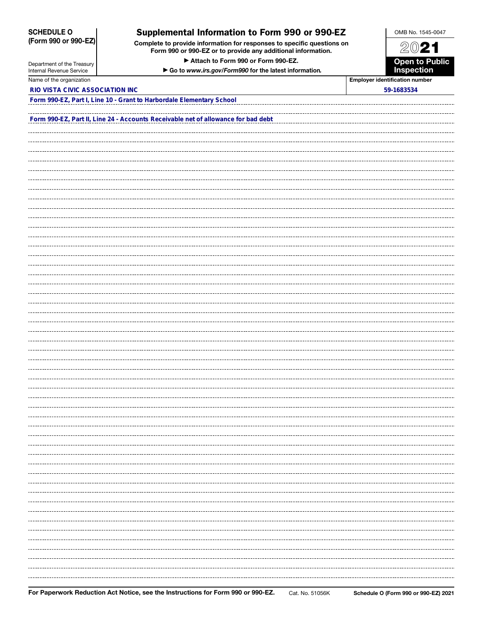SCHEDULE O (Form 990 or 990-EZ)

## Supplemental Information to Form 990 or 990-EZ

Complete to provide information for responses to specific questions on Form 990 or 990-EZ or to provide any additional information.

▶ Attach to Form 990 or Form 990-EZ.

▶ Go to *www.irs.gov/Form990* for the latest information*.*



Department of the Treasury Internal Revenue Service Name of the organization **Employer is a strategier in the organization** number is a strategier in the organization number of the organization is a strategier in the organization is a strategier in the organization is a str

**FORM 990-EXTER IN ALICY ASSOCIATION INC** 

| ployer identification numbeı |  |
|------------------------------|--|
|------------------------------|--|

| Form 990-EZ, Part I, Line 10 - Grant to Harbordale Elementary School              |  |  |
|-----------------------------------------------------------------------------------|--|--|
|                                                                                   |  |  |
| Form 990-EZ, Part II, Line 24 - Accounts Receivable net of allowance for bad debt |  |  |
|                                                                                   |  |  |
|                                                                                   |  |  |
|                                                                                   |  |  |
|                                                                                   |  |  |
|                                                                                   |  |  |
|                                                                                   |  |  |
|                                                                                   |  |  |
|                                                                                   |  |  |
|                                                                                   |  |  |
|                                                                                   |  |  |
|                                                                                   |  |  |
|                                                                                   |  |  |
|                                                                                   |  |  |
|                                                                                   |  |  |
|                                                                                   |  |  |
|                                                                                   |  |  |
|                                                                                   |  |  |
|                                                                                   |  |  |
|                                                                                   |  |  |
|                                                                                   |  |  |
|                                                                                   |  |  |
|                                                                                   |  |  |
|                                                                                   |  |  |
|                                                                                   |  |  |
|                                                                                   |  |  |
|                                                                                   |  |  |
|                                                                                   |  |  |
|                                                                                   |  |  |
|                                                                                   |  |  |
|                                                                                   |  |  |
|                                                                                   |  |  |
|                                                                                   |  |  |
|                                                                                   |  |  |
|                                                                                   |  |  |
|                                                                                   |  |  |
|                                                                                   |  |  |
|                                                                                   |  |  |
|                                                                                   |  |  |
|                                                                                   |  |  |
|                                                                                   |  |  |
|                                                                                   |  |  |
|                                                                                   |  |  |
|                                                                                   |  |  |
|                                                                                   |  |  |
|                                                                                   |  |  |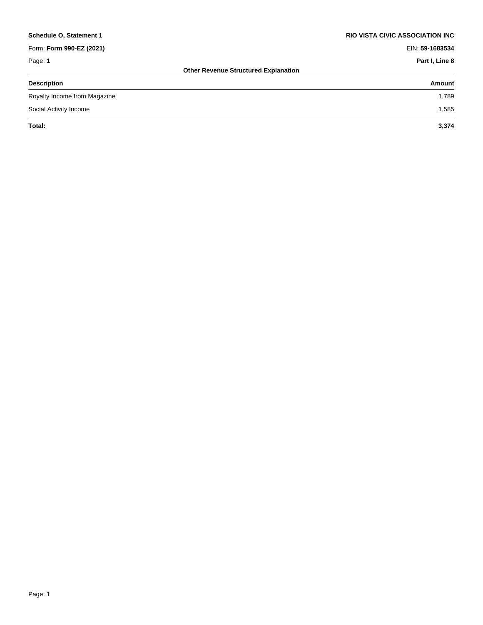| Schedule O. Statement 1      | RIO VISTA CIVIC ASSOCIATION INC             |
|------------------------------|---------------------------------------------|
| Form: Form 990-EZ (2021)     | EIN: 59-1683534                             |
| Page: 1                      | Part I, Line 8                              |
|                              | <b>Other Revenue Structured Explanation</b> |
| <b>Description</b>           | Amount                                      |
| Royalty Income from Magazine | 1,789                                       |
| Social Activity Income       | 1,585                                       |
| Total:                       | 3,374                                       |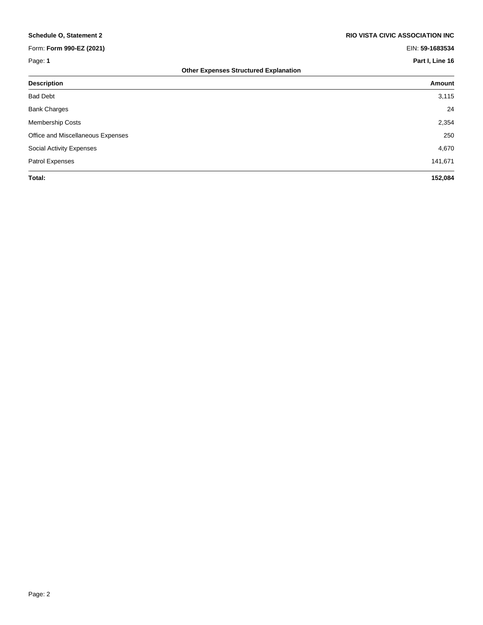| <b>Schedule O, Statement 2</b>               | <b>RIO VISTA CIVIC ASSOCIATION INC.</b> |  |
|----------------------------------------------|-----------------------------------------|--|
| Form: Form 990-EZ (2021)                     | EIN: 59-1683534                         |  |
| Page: 1                                      | Part I, Line 16                         |  |
| <b>Other Expenses Structured Explanation</b> |                                         |  |
| <b>Description</b>                           | Amount                                  |  |
| <b>Bad Debt</b>                              | 3,115                                   |  |
| <b>Bank Charges</b>                          | 24                                      |  |
| <b>Membership Costs</b>                      | 2,354                                   |  |
| Office and Miscellaneous Expenses            | 250                                     |  |
| Social Activity Expenses                     | 4,670                                   |  |
| Patrol Expenses                              | 141,671                                 |  |
| Total:                                       | 152,084                                 |  |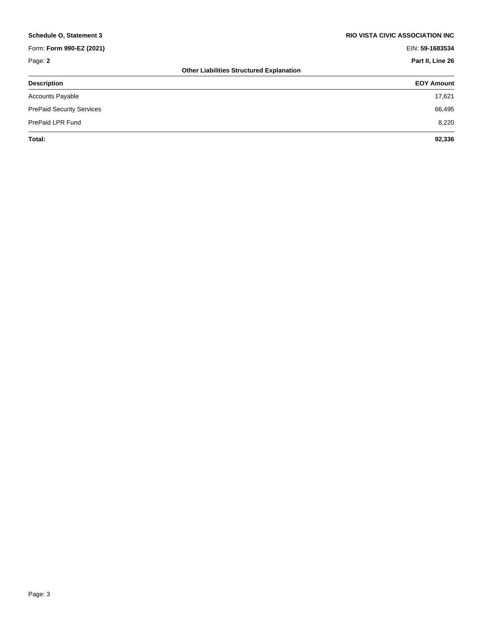| <b>Schedule O, Statement 3</b>   | <b>RIO VISTA CIVIC ASSOCIATION INC.</b>         |
|----------------------------------|-------------------------------------------------|
| Form: Form 990-EZ (2021)         | EIN: 59-1683534                                 |
| Page: 2                          | Part II, Line 26                                |
|                                  | <b>Other Liabilities Structured Explanation</b> |
| <b>Description</b>               | <b>EOY Amount</b>                               |
| <b>Accounts Payable</b>          | 17,621                                          |
| <b>PrePaid Security Services</b> | 66,495                                          |
| PrePaid LPR Fund                 | 8,220                                           |
| Total:                           | 92,336                                          |